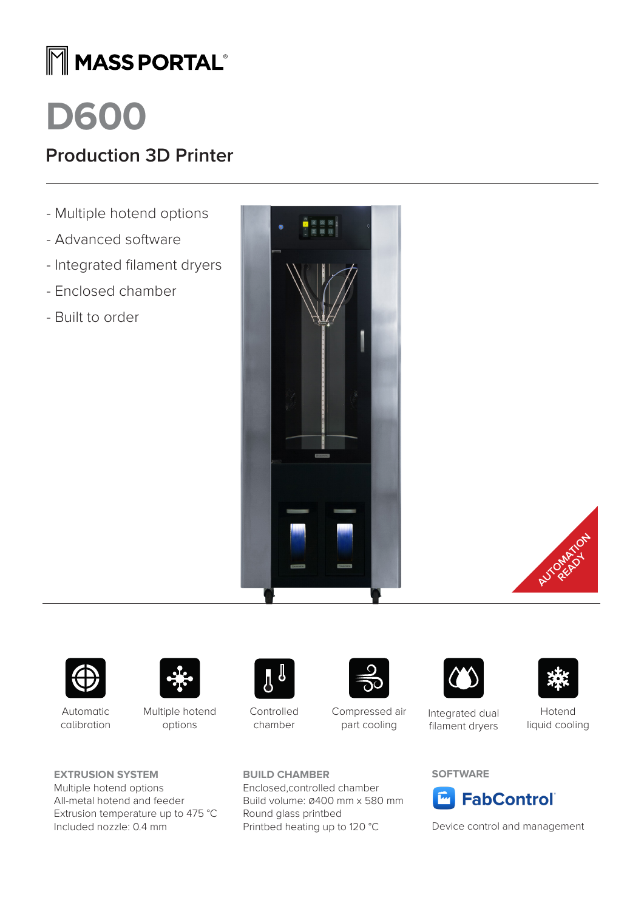# $\boxed{\color{red} \blacksquare}$  MASS PORTAL®

# **D600**

# **Production 3D Printer**

- Multiple hotend options
- Advanced software
- Integrated filament dryers
- Enclosed chamber
- Built to order







Automatic calibration



Multiple hotend options

**EXTRUSION SYSTEM** Multiple hotend options All-metal hotend and feeder Extrusion temperature up to 475 °C Included nozzle: 0.4 mm



Controlled chamber

**BUILD CHAMBER**

Round glass printbed

Enclosed,controlled chamber Build volume: 0400 mm x 580 mm

Printbed heating up to 120 °C



Compressed air part cooling



Integrated dual filament dryers

Hotend liquid cooling

# **SOFTWARE**



Device control and management